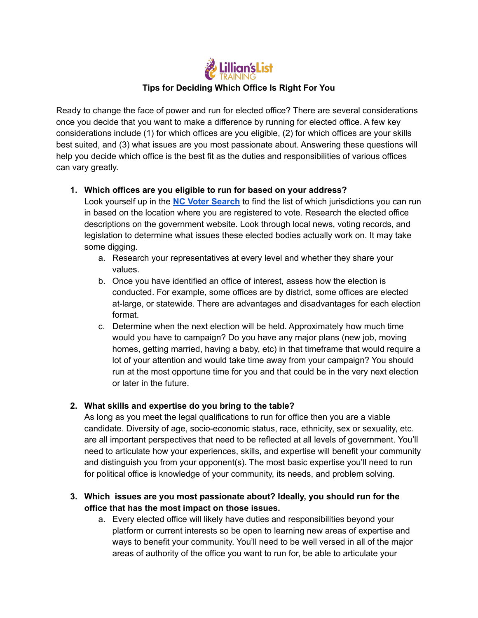

Ready to change the face of power and run for elected office? There are several considerations once you decide that you want to make a difference by running for elected office. A few key considerations include (1) for which offices are you eligible, (2) for which offices are your skills best suited, and (3) what issues are you most passionate about. Answering these questions will help you decide which office is the best fit as the duties and responsibilities of various offices can vary greatly.

## **1. Which offices are you eligible to run for based on your address?**

Look yourself up in the **NC Voter [Search](https://vt.ncsbe.gov/RegLkup/)** to find the list of which jurisdictions you can run in based on the location where you are registered to vote. Research the elected office descriptions on the government website. Look through local news, voting records, and legislation to determine what issues these elected bodies actually work on. It may take some digging.

- a. Research your representatives at every level and whether they share your values.
- b. Once you have identified an office of interest, assess how the election is conducted. For example, some offices are by district, some offices are elected at-large, or statewide. There are advantages and disadvantages for each election format.
- c. Determine when the next election will be held. Approximately how much time would you have to campaign? Do you have any major plans (new job, moving homes, getting married, having a baby, etc) in that timeframe that would require a lot of your attention and would take time away from your campaign? You should run at the most opportune time for you and that could be in the very next election or later in the future.

## **2. What skills and expertise do you bring to the table?**

As long as you meet the legal qualifications to run for office then you are a viable candidate. Diversity of age, socio-economic status, race, ethnicity, sex or sexuality, etc. are all important perspectives that need to be reflected at all levels of government. You'll need to articulate how your experiences, skills, and expertise will benefit your community and distinguish you from your opponent(s). The most basic expertise you'll need to run for political office is knowledge of your community, its needs, and problem solving.

## **3. Which issues are you most passionate about? Ideally, you should run for the office that has the most impact on those issues.**

a. Every elected office will likely have duties and responsibilities beyond your platform or current interests so be open to learning new areas of expertise and ways to benefit your community. You'll need to be well versed in all of the major areas of authority of the office you want to run for, be able to articulate your